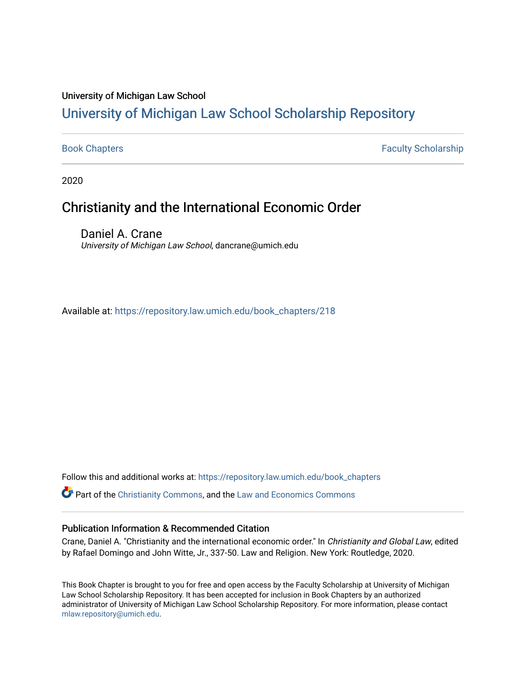#### University of Michigan Law School

# [University of Michigan Law School Scholarship Repository](https://repository.law.umich.edu/)

[Book Chapters](https://repository.law.umich.edu/book_chapters) Faculty Scholarship

2020

## Christianity and the International Economic Order

Daniel A. Crane University of Michigan Law School, dancrane@umich.edu

Available at: [https://repository.law.umich.edu/book\\_chapters/218](https://repository.law.umich.edu/book_chapters/218) 

Follow this and additional works at: [https://repository.law.umich.edu/book\\_chapters](https://repository.law.umich.edu/book_chapters?utm_source=repository.law.umich.edu%2Fbook_chapters%2F218&utm_medium=PDF&utm_campaign=PDFCoverPages)

Part of the [Christianity Commons,](http://network.bepress.com/hgg/discipline/1181?utm_source=repository.law.umich.edu%2Fbook_chapters%2F218&utm_medium=PDF&utm_campaign=PDFCoverPages) and the [Law and Economics Commons](http://network.bepress.com/hgg/discipline/612?utm_source=repository.law.umich.edu%2Fbook_chapters%2F218&utm_medium=PDF&utm_campaign=PDFCoverPages) 

#### Publication Information & Recommended Citation

Crane, Daniel A. "Christianity and the international economic order." In Christianity and Global Law, edited by Rafael Domingo and John Witte, Jr., 337-50. Law and Religion. New York: Routledge, 2020.

This Book Chapter is brought to you for free and open access by the Faculty Scholarship at University of Michigan Law School Scholarship Repository. It has been accepted for inclusion in Book Chapters by an authorized administrator of University of Michigan Law School Scholarship Repository. For more information, please contact [mlaw.repository@umich.edu.](mailto:mlaw.repository@umich.edu)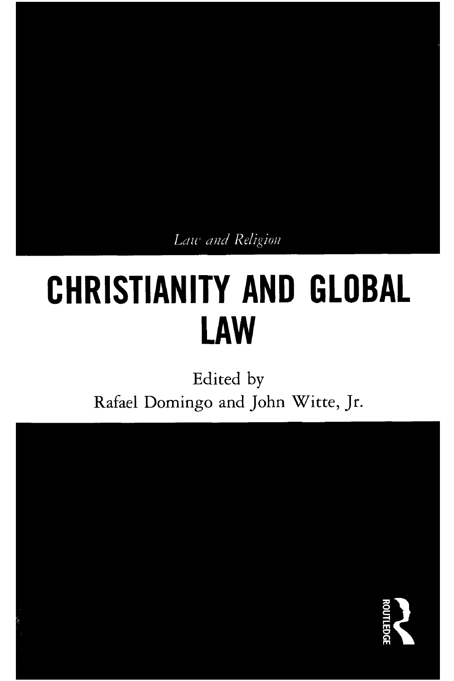Law and Religion

# **CHRISTIANITY AND GLOBAL LAW**

Edited by Rafael Domingo and John Witte, Jr.

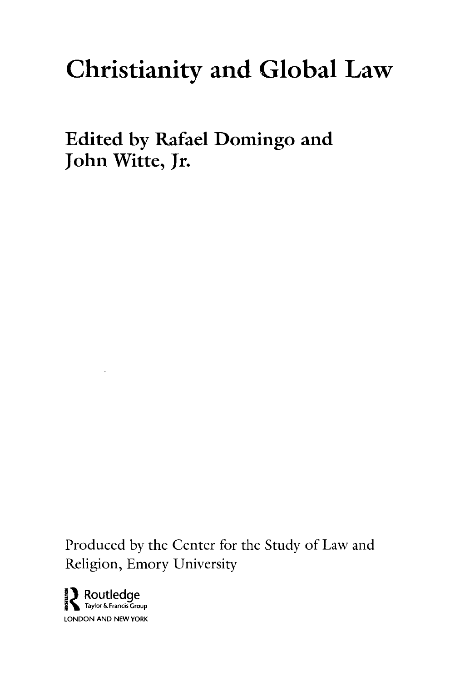# **Christianity and Global Law**

**Edited by Rafael Domingo and John Witte, Jr.** 

Produced by the Center for the Study of Law and Religion, Emory University

 $\sum_{\text{Raylor & Francis Group}}$ LONDON AND NEW YORK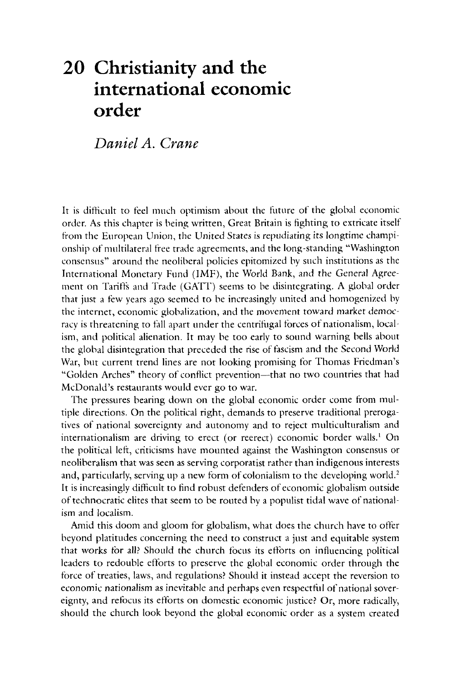# **20 Christianity and the international economic order**

*Daniel A. Crane* 

It is difficult to feel much optimism about the future of the global economic order. As this chapter is being written, Great Britain is fighting to extricate itself from the European Union, the United States is repudiating its longtime championship of multilateral free trade agreements, and the long-standing "Washington consensus" around the neoliberal policies epitomized by such institutions as the International Monetary Fund (IMF), the World Bank, and the General Agreement on Tariffs and Trade (GATT) seems to be disintegrating. A global order that just a tew years ago seemed to be increasingly united and homogenized by the internet, economic globalization, and the movement toward market democracy is threatening to fall apart under the centrifugal forces of nationalism, localism, and political alienation. It may be too early to sound warning bells about the global disintegration that preceded the rise of fascism and the Second World War, but current trend lines are not looking promising for Thomas Friedman's "Golden Arches" theory of conflict prevention-that no two countries that had McDonald's restaurants would ever go to war.

The pressures bearing down on the global economic order come from multiple directions. On the political right, demands to preserve traditional prerogatives of national sovereignty and autonomy and to reject multiculturalism and internationalism are driving to erect (or reerect) economic border walls.<sup>1</sup> On the political left, criticisms have mounted against the Washington consensus or neoliberalism that was seen as serving corporatist rather than indigenous interests and, particularly, serving up a new form of colonialism to the developing world.<sup>2</sup> It is increasingly difficult to find robust defenders of economic globalism outside of technocratic elites that seem to be routed by a populist tidal wave of nationalism and localism.

Amid this doom and gloom for globalism, what does the church have to offer beyond platitudes concerning the need to construct a just and equitable system that works for all? Should the church focus its efforts on influencing political leaders to redouble efforts to preserve the global economic order through the force of treaties, laws, and regulations? Should it instead accept the reversion to economic nationalism as inevitable and perhaps even respectfol of national sovereignty, and refocus its efforts on domestic economic justice? Or, more radically, should the church look beyond the global economic order as a system created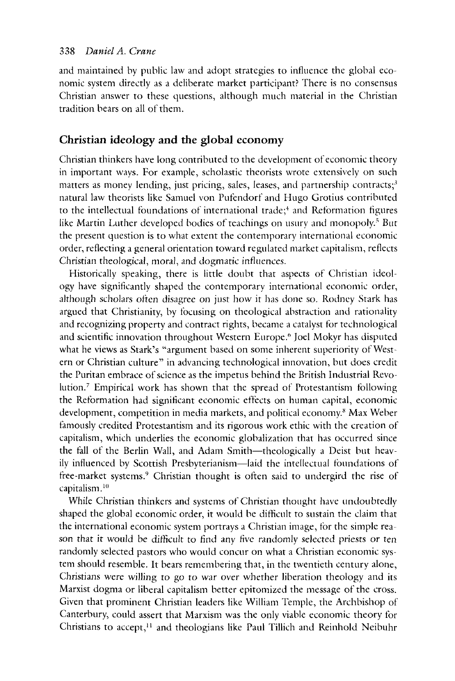and maintained by public law and adopt strategies to influence the global economic system directly as a deliberate market participant? There is no consensus Christian answer to these questions, although much material in the Christian tradition bears on all of them.

#### **Christian ideology and the global economy**

Christian thinkers have long contributed to the development of economic theory in important ways. For example, scholastic theorists wrote extensively on such matters as money lending, just pricing, sales, leases, and partnership contracts;<sup>3</sup> natural law theorists like Samuel von Pufrndorf and Hugo Grotius contributed to the intellectual foundations of international trade;<sup>4</sup> and Reformation figures like Martin Luther developed bodies of teachings on usury and monopoly.<sup>5</sup> But the present question is to what extent the contemporary international economic order, reflecting a general orientation toward regulated market capitalism, reflects Christian theological, moral, and dogmatic influences.

Historically speaking, there is little doubt that aspects of Christian ideology have significantly shaped the contemporary international economic order, although scholars often disagree on just how it has done so. Rodney Stark has argued that Christianity, by focusing on theological abstraction and rationality and recognizing property and contract rights, became a catalyst for technological and scientific innovation throughout Western Europe." Joel Mokyr has disputed what he views as Stark's "argument based on some inherent superiority of West· ern or Christian culture" in advancing technological innovation, but does credit the Puritan embrace of science as the impetus behind the British Industrial Revolution.7 Empirical work has shown that the spread of Protestantism following the Reformation had significant economic effects on human capital, economic development, competition in media markets, and political economy.<sup>8</sup> Max Weber famously credited Protestantism and its rigorous work ethic with the creation of capitalism, which underlies the economic globalization that has occurred since the fall of the Berlin Wall, and Adam Smith-theologically a Deist but heavily influenced by Scottish Presbyterianism-laid the intellectual foundations of free-market systems.<sup>9</sup> Christian thought is often said to undergird the rise of capitalism.<sup>10</sup>

While Christian thinkers and systems of Christian thought have undoubtedly shaped the global economic order, it would be difficult to sustain the claim that the international economic system portrays a Christian image, for the simple reason that it would be difficult to find any five randomly selected priests or ten randomly selected pastors who would concur on what a Christian economic system should resemble. It bears remembering that, in the twentieth century alone, Christians were willing to go to war over whether liberation theology and its Marxist dogma or liberal capitalism better epitomized the message of the cross. Given that prominent Christian leaders like William Temple, the Archbishop of Canterbury, could assert that Marxism was the only viable economic theory for Christians to accept,<sup>11</sup> and theologians like Paul Tillich and Reinhold Neibuhr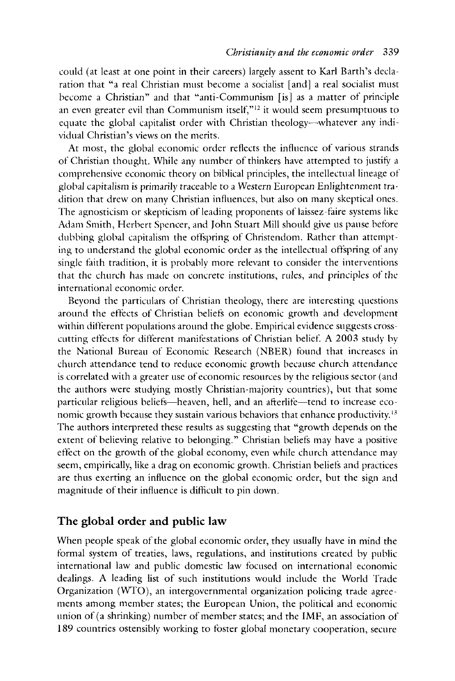could ( at least at one point in their careers) largely assent to Karl Barth's declaration that "a real Christian must become a socialist [and] a real socialist must become a Christian" and that "anti-Communism [is] as a matter of principle an even greater evil than Communism itself, $"12$  it would seem presumptuous to equate the global capitalist order with Christian theology-whatever any individual Christian's views on the merits.

At most, the global economic order reflects the influence of various strands of Christian thought. While any number of thinkers have attempted to justify a comprehensive economic theory on biblical principles, the intellectual lineage of global capitalism is primarily traceable to a Western European Enlightenment tradition that drew on many Christian influences, but also on many skeptical ones. The agnosticism or skepticism of leading proponents of laissez-faire systems like Adam Smith, Herbert Spencer, and John Stuart Mill should give us pause before dubbing global capitalism the offspring of Christendom. Rather than attempting to understand the global economic order as the intellectual offspring of any single faith tradition, it is probably more relevant to consider the interventions that the church has made on concrete institutions, rules, and principles of the international economic order.

Beyond the particulars of Christian theology, there are interesting questions around the eflects of Christian beliefs on economic growth and development within different populations around the globe. Empirical evidence suggests crosscutting effects for different manifestations of Christian belief. A 2003 study by the National Bureau of Economic Research (NBER) found that increases in church attendance tend to reduce economic growth because church attendance is correlated with a greater use of economic resources by the religious sector ( and the authors were studying mostly Christian-majority countries), but that some particular religious beliefs-heaven, hell, and an afterlife-tend to increase economic growth because they sustain various behaviors that enhance productivity.<sup>13</sup> The authors interpreted these results as suggesting that "growth depends on the extent of believing relative to belonging." Christian beliefs may have a positive effect on the growth of the global economy, even while church attendance may seem, empirically, like a drag on economic growth. Christian beliefs and practices are thus exerting an influence on the global economic order, but the sign and magnitude of their influence is difficult to pin down.

#### **The global order and public law**

When people speak of the global economic order, they usually have in mind the formal system of treaties, laws, regulations, and institutions created by public international law and public domestic law focused on international economic dealings. A leading list of such institutions would include the World Trade Organization (WTO), an intergovernmental organization policing trade agreements among member states; the European Union, the political and economic union of (a shrinking) number of member states; and the IMF, an association of 189 countries ostensibly working to foster global monetary cooperation, secure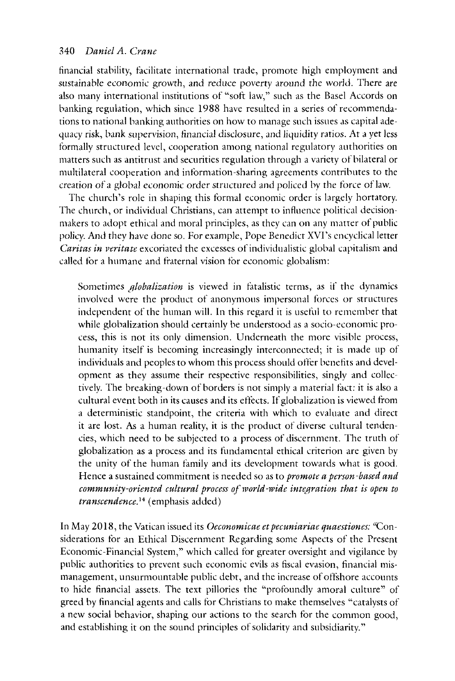financial stability, facilitate international trade, promote high employment and sustainable economic growth, and reduce poverty around the world. There are also many international institutions of "soft law," such as the Basel Accords on hanking regulation, which since 1988 have resulted in a series of recommendations to national banking authorities on how to manage such issues as capital adequacy risk, bank supervision, financial disclosure, and liquidity ratios. At a yet less formally structured level, cooperation among national regulatory authorities on matters such as antitrust and securities regulation through a variety of bilateral or multilateral cooperation and information-sharing agreements contributes to the creation of a global economic order structured and policed by the force of law.

The church's role in shaping this formal economic order is largely hortatory. The church, or individual Christians, can attempt to influence political decisionmakers to adopt ethical and moral principles, as they can on any matter of public policy. And they have done so. For example, Pope Benedict XVI's encyclical letter *Caritas in veritate* excoriated the excesses of individualistic global capitalism and called for a humane and fraternal vision for economic globalism:

Sometimes *globalization is* viewed in fatalistic terms, as if the dynamics involved were the product of anonymous impersonal forces or structures independent of the human will. In this regard it is useful to remember that while globalization should certainly be understood as a socio-economic process, this is not its only dimension. Underneath the more visible process, humanity itself is becoming increasingly interconnected; it is made up of individuals and peoples to whom this process should offer benefits and development as they assume their respective responsibilities, singly and collectively. The breaking-down of borders is not simply a material fact: it is also a cultural event both in its causes and its etfrcts. If globalization is viewed from a deterministic standpoint, the criteria with which to evaluate and direct it are lost. As a human reality, it is the product of diverse cultural tendencies, which need to he subjected to a process of discernment. The truth of globalization as a process and its fundamental ethical criterion are given by the unity of the human family and its development towards what is good. Hence a sustained commitment is needed so as to *promote a person-based and community-oriented cultural process of world-wide integration that is open to transcendence*.<sup>14</sup> (emphasis added)

In May 2018, the Vatican issued its *Oeconomicae et pecuniariae quaestiones*: "Considerations for an Ethical Discernment Regarding some Aspects of the Present Economic-Financial System," which called for greater oversight and vigilance by public authorities to prevent such economic evils as fiscal evasion, financial mismanagement, unsurmountable public debt, and the increase of offshore accounts to hide financial assets. The text pillories the "profoundly amoral culture" of greed by financial agents and calls for Christians to make themselves "catalysts of a new social behavior, shaping our actions to the search for the common good, and establishing it on the sound principles of solidarity and subsidiarity."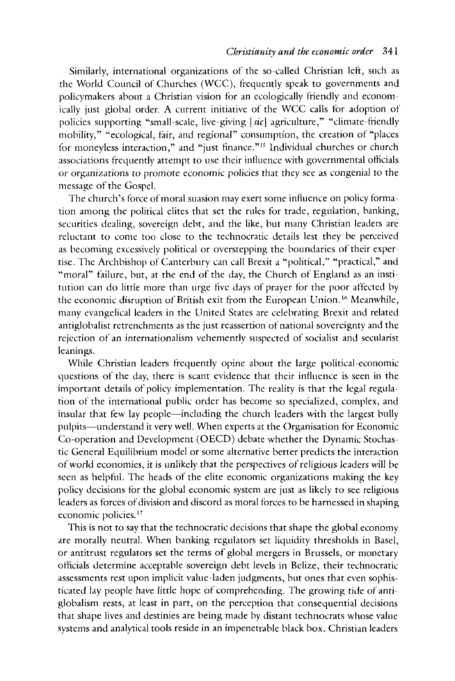Similarly, international organizations of the so-called Christian left, such as the World Council of Churches (WCC), frequently speak to governments and policymakers about a Christian vision for an ecologically friendly and economically just global order. A current initiative of the WCC calls for adoption of policies supporting "small-scale, live-giving *[sic]* agriculture," "climate-friendly mobility," "ecological, fair, and regional" consumption, the creation of "places for moneyless interaction," and "just finance."<sup>15</sup> Individual churches or church associations frequently attempt to use their influence with governmental officials or organizations to promote economic policies that they see as congenial to the message of the Gospel.

The church's force of moral suasion may exert some influence on policy formation among the political elites that set the rules for trade, regulation, banking, securities dealing, sovereign debt, and the like, but many Christian leaders are reluctant to come too dose to the technocratic details lest they be perceived as becoming excessively political or overstepping the boundaries of their expertise. The Archbishop of Canterbury can call Brexit a "political," "practical," and "moral" failure, but, at the end of the day, the Church of England as an institution can do little more than urge five days of prayer for the poor affrcted by the economic disruption of British exit from the European Union. 16 Meanwhile, many evangelical leaders in the United States are celebrating Brexit and related antiglobalist retrenchments as the just reassertion of national sovereignty and the rejection of an internationalism vehemently suspected of socialist and secularist leanings.

While Christian leaders frequently opine about the large political-economic questions of the day, there is scant evidence that their influence is seen in the important details of policy implementation. The reality is that the legal regulation of the international public order has become so specialized, complex, and insular that few lay people—including the church leaders with the largest bully pulpits-understand it very well. When experts at the Organisation for Economic Co-operation and Development (OECD) debate whether the Dynamic Stochastic General Equilibrium model or some alternative better predicts the interaction of world economies, it is unlikely that the perspectives ofreligious leaders will be seen as helpful. The heads of the elite economic organizations making the key policy decisions for the global economic system are just as likely to see religious leaders as forces of division and discord as moral forces to be harnessed in shaping economic policies.<sup>17</sup>

This is not to say that the technocratic decisions that shape the global economy are morally neutral. When banking regulators set liquidity thresholds in Basel, or antitrust regulators set the terms of global mergers in Brussels, or monetary officials determine acceptable sovereign debt levels in Belize, their technocratic assessments rest upon implicit value-laden judgments, but ones that even sophisticated lay people have little hope of comprehending. The growing tide of antiglobalism rests, at least in part, on the perception that consequential decisions that shape lives and destinies are being made by distant technocrats whose value systems and analytical tools reside in an impenetrable black box. Christian leaders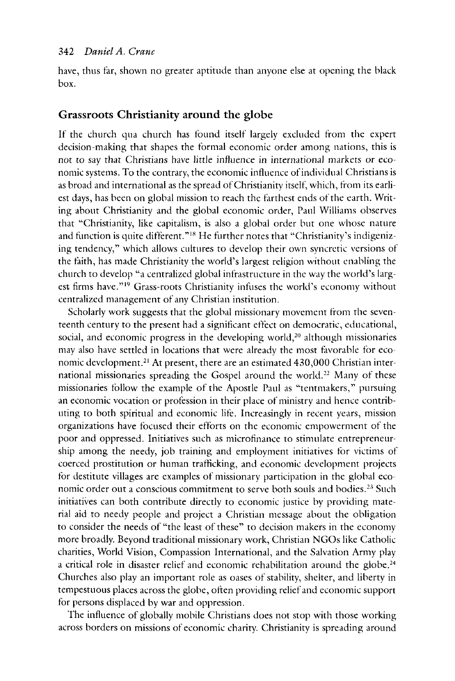have, thus far, shown no greater aptitude than anyone else at opening the black box.

#### **Grassroots Christianity around the globe**

If the church qua church has found itself largely excluded from the expert decision-making that shapes the formal economic order among nations, this is not to say that Christians have little influence in international markets or economic systems. To the contrary, the economic influence of individual Christians is as broad and international as the spread of Christianity itself, which, from its earliest days, has been on global mission to reach the farthest ends of the earth. Writing about Christianity and the global economic order, Paul Williams observes that "Christianity, like capitalism, is also a global order but one whose nature and function is quite different."<sup>18</sup> He further notes that "Christianity's indigenizing tendency," which allows cultures to develop their own syncretic versions of the faith, has made Christianity the world's largest religion without enabling the church to develop "a centralized global infrastructure in the way the world's largest firms have."<sup>19</sup> Grass-roots Christianity infuses the world's economy without centralized management of any Christian institution.

Scholarly work suggests that the global missionary movement from the seventeenth century to the present had a significant effect on democratic, educational, social, and economic progress in the developing world, $20$  although missionaries may also have settled in locations that were already the most favorable for economic development.<sup>21</sup> At present, there are an estimated 430,000 Christian international missionaries spreading the Gospel around the world.<sup>22</sup> Many of these missionaries follow the example of the Apostle Paul as "tentmakers," pursuing an economic vocation or profession in their place of ministry and hence contributing to both spiritual and economic life. Increasingly in recent years, mission organizations have focused their efforts on the economic empowerment of the poor and oppressed. Initiatives such as microfinance to stimulate entrepreneurship among the needy, job training and employment initiatives for victims of coerced prostitution or human trafficking, and economic development projects for destitute villages are examples of missionary participation in the global economic order out a conscious commitment to serve both souls and bodies.<sup>23</sup> Such initiatives can both contribute directly to economic justice by providing material aid to needy people and project a Christian message about the obligation to consider the needs of "the least of these" to decision makers in the economy more broadly. Beyond traditional missionary work, Christian **NGOs** like Catholic charities, World Vision, Compassion International, and the Salvation Army play a critical role in disaster relief and economic rehabilitation around the globe.<sup>24</sup> Churches also play an important role as oases of stability, shelter, and liberty in tempestuous places across the globe, often providing relief and economic support for persons displaced by war and oppression.

The influence of globally mobile Christians does not stop with those working across borders on missions of economic charity. Christianity is spreading around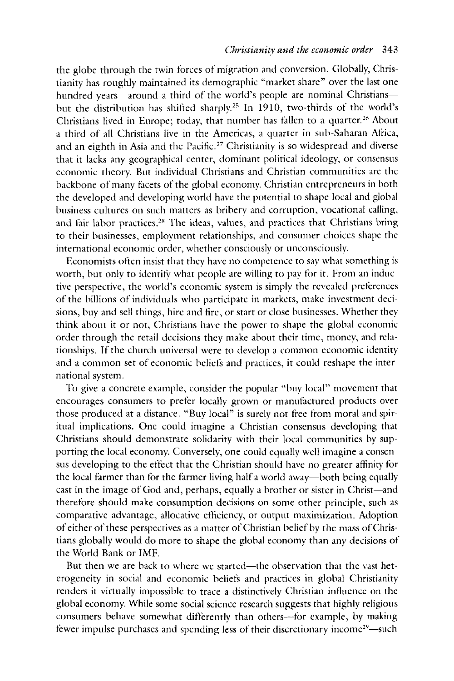the globe through the twin forces of migration and conversion. Globally, Christianity has roughly maintained its demographic "market share" over the last one hundred years-around a third of the world's people are nominal Christiansbut the distribution has shifted sharply.<sup>25</sup> In 1910, two-thirds of the world's Christians lived in Europe; today, that number has fallen to a quarter.<sup>26</sup> About a third of all Christians live in the Americas, a quarter in sub-Saharan Africa, and an eighth in Asia and the Pacific. 27 Christianity is so widespread and diverse that it lacks any geographical center, dominant political ideology, or consensus economic theory. But individual Christians and Christian communities arc the backbone of many facets of the global economy. Christian entrepreneurs in both the developed and developing world have the potential to shape local and global business cultures on such matters as bribery and corruption, vocational calling, and fair labor practices.<sup>28</sup> The ideas, values, and practices that Christians bring to their businesses, employment relationships, and consumer choices shape the international economic order, whether consciously or unconsciously.

Economists ofren insist that they have no competence to say what something is worth, but only to identify what people are willing to pay for it. From an inductive perspective, the world's economic system is simply the revealed preferences of the billions of individuals who participate in markets, make investment decisions, buy and sell things, hire and fire, or start or dose businesses. Whether they think about it or not, Christians have the power to shape the global economic order through the retail decisions they make about their time, money, and relationships. If the church universal were to develop a common economic identity and a common set of economic beliets and practices, it could reshape the international system.

To give a concrete example, consider the popular "buy local" movement that encourages consumers to preter locally grown or manufactured products over those produced at a distance. "Buy local" is surely not free from moral and spiritual implications. One could imagine a Christian consensus developing that Christians should demonstrate solidarity with their local communities by supporting the local economy. Conversely, one could equally well imagine a consensus developing to the effect that the Christian should have no greater aflinity for the local farmer than for the farmer living half a world away-both being equally cast in the image of God and, perhaps, equally a brother or sister in Christ-and therefore should make consumption decisions on some other principle, such as comparative advantage, allocative efficiency, or output maximization. Adoption of either of these perspectives as a matter of Christian belief by the mass of Christians globally would do more to shape the global economy than any decisions of the World Bank or IMF.

But then we are back to where we started—the observation that the vast heterogeneity in social and economic beliets and practices in global Christianity renders it virtually impossible to trace a distinctively Christian influence on the global economy. While some social science research suggests that highly religious consumers behave somewhat differently than others--for example, by making fewer impulse purchases and spending less of their discretionary income<sup>29</sup>—such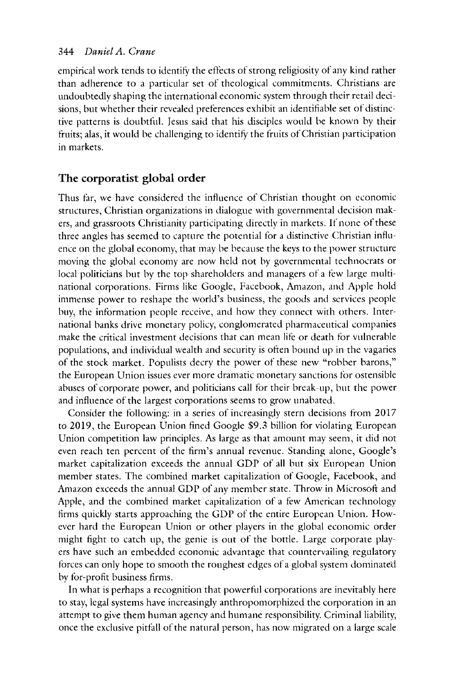empirical work tends to identify the effects of strong religiosity of any kind rather than adherence to a particular set of theological commitments. Christians are undoubtedly shaping the international economic system through their retail decisions, but whether their revealed preferences exhibit an identifiable set of distinctive patterns is doubtful. Jesus said that his disciples would be known by their fruits; alas, it would be challenging to identify the fruits of Christian participation in markets.

### **The corporatist global order**

Thus far, we have considered the influence of Christian thought on economic structures, Christian organizations in dialogue with governmental decision makers, and grassroots Christianity participating directly in markets. If none of these three angles has seemed to capture the potential for a distinctive Christian influence on the global economy, that may be because the keys to the power structure moving the global economy are now held not by governmental technocrats or local politicians but by the top shareholders and managers of a tew large multinational corporations. Firms like Google, Facebook, Amazon, and Apple hold immense power to reshape the world's business, the goods and services people buy, the information people receive, and how they connect with others. International banks drive monetary policy, conglomerated pharmaceutical companies make the critical investment decisions that can mean lite or death for vulnerable populations, and individual wealth and security is ofren bound up in the vagaries of the stock market. Populists decry the power of these new "robber barons," the European Union issues ever more dramatic monetary sanctions for ostensible abuses of corporate power, and politicians call for their break-up, but the power and influence of the largest corporations seems to grow unabated.

Consider the following: in a series of increasingly stern decisions from 2017 to 2019, the European Union fined Google \$9 .3 billion for violating European Union competition law principles. As large as that amount may seem, it did not even reach ten percent of the firm's annual revenue. Standing alone, Google's market capitalization exceeds the annual GDP of all but six European Union member states. The combined market capitalization of Google, Facebook, and Amazon exceeds the annual GDP of any member state. Throw in Microsofr and Apple, and the combined market capitalization of a few American technology firms quickly starts approaching the GDP of the entire European Union. However hard the European Union or other players in the global economic order might fight to catch up, the genie is out of the bottle. Large corporate players have such an embedded economic advantage that countervailing regulatory forces can only hope to smooth the roughest edges of a global system dominated by for-profit business firms.

In what is perhaps a recognition that powerfol corporations are inevitably here to stay, legal systems have increasingly anthropomorphized the corporation in an attempt to give them human agency and humane responsibility. Criminal liability, once the exclusive pitfall of the natural person, has now migrated on a large scale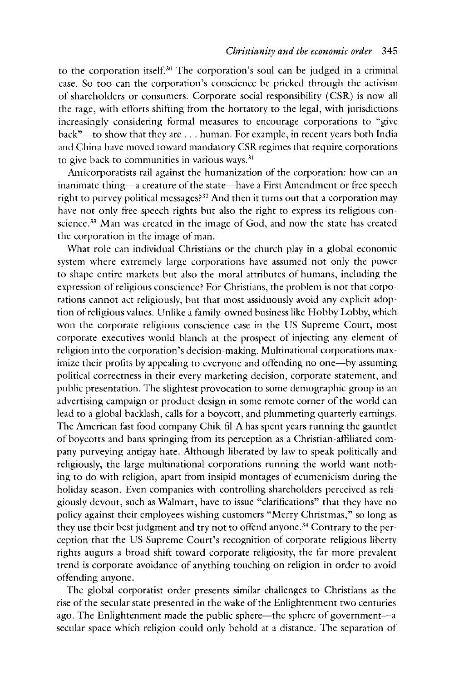to the corporation itself.<sup>30</sup> The corporation's soul can be judged in a criminal case. So too can the corporation's conscience be pricked through the activism of shareholders or consumers. Corporate social responsibility ( CSR) is now all the rage, with efforts shifting from the hortatory to the legal, with jurisdictions increasingly considering formal measures to encourage corporations to "give back"-to show that they are . . . human. For example, in recent years both India and China have moved toward mandatory CSR regimes that require corporations to give back to communities in various ways.<sup>31</sup>

Anticorporatists rail against the humanization of the corporation: how can an inanimate thing—a creature of the state—have a First Amendment or free speech right to purvey political messages?<sup>32</sup> And then it turns out that a corporation may have not only free speech rights but also the right to express its religious conscience.<sup>33</sup> Man was created in the image of God, and now the state has created the corporation in the image of man.

What role can individual Christians or the church play in a global economic system where extremely large corporations have assumed not only the power to shape entire markets but also the moral attributes of humans, including the expression of religious conscience? For Christians, the problem is not that corporations cannot act religiously, but that most assiduously avoid any explicit adoption of religious values. Unlike a family-owned business like Hobby Lobby, which won the corporate religious conscience case in the US Supreme Court, most corporate executives would blanch at the prospect of injecting any element of religion into the corporation's decision-making. Multinational corporations maximize their profits by appealing to everyone and offending no one—by assuming political correctness in their every marketing decision, corporate statement, and public presentation. The slightest provocation to some demographic group in an advertising campaign or product design in some remote corner of the world can lead to a global backlash, calls for a boycott, and plummeting quarterly earnings. The American fast food company Chik-fil-A has spent years running the gauntlet of boycotts and bans springing from its perception as a Christian-atfiliated company purveying antigay hate. Although liberated by law to speak politically and religiously, the large multinational corporations running the world want nothing to do with religion, apart from insipid montages of ecumenicism during the holiday season. Even companies with controlling shareholders perceived as religiously devout, such as Walmart, have to issue "clarifications" that they have no policy against their employees wishing customers "Merry Christmas," so long as they use their best judgment and try not to offend anyone.<sup>34</sup> Contrary to the perception that the US Supreme Court's recognition of corporate religious liberty rights augurs a broad shift toward corporate religiosity, the far more prevalent trend is corporate avoidance of anything touching on religion in order to avoid offending anyone.

The global corporatist order presents similar challenges to Christians as the rise of the secular state presented in the wake of the Enlightenment two centuries ago. The Enlightenment made the public sphere-the sphere of government--a secular space which religion could only behold at a distance. The separation of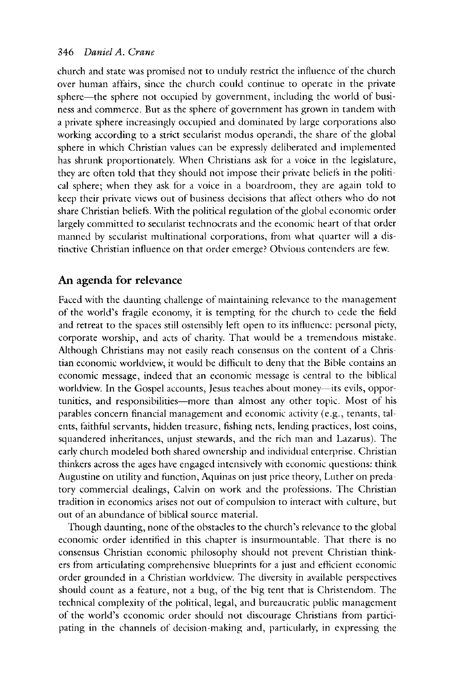church and state was promised not to unduly restrict the influence of the church over human affairs, since the church could continue to operate in the private sphere—the sphere not occupied by government, including the world of business and commerce. But as the sphere of government has grown in tandem with a private sphere increasingly occupied and dominated by large corporations also working according to a strict secularist modus operandi, the share of the global sphere in which Christian values can be expressly deliberated and implemented has shrunk proportionately. When Christians ask for a voice in the legislature, they are often told that they should not impose their private beliefs in the political sphere; when they ask for a voice in a boardroom, they are again told to keep their private views out of business decisions that affect others who do not share Christian beliefs. With the political regulation of the global economic order largely committed to secularist technocrats and the economic heart of that order manned by secularist multinational corporations, from what quarter will a distinctive Christian influence on that order emerge? Obvious contenders are tew.

#### **An agenda for relevance**

Faced with the daunting challenge of maintaining relevance to the management of the world's fragile economy, it is tempting for the church to cede the field and retreat to the spaces still ostensibly lefr open to its influence: personal piety, corporate worship, and acts of charity. That would be a tremendous mistake. Although Christians may not easily reach consensus on the content of a Christian economic worldview, it would be difficult to deny that the Bible contains an economic message, indeed that an economic message is central to the biblical worldview. In the Gospel accounts, Jesus teaches about money-its evils, opportunities, and responsibilities-more than almost any other topic. Most of his parables concern financial management and economic activity (e.g., tenants, talents, faithful servants, hidden treasure, fishing nets, lending practices, lost coins, squandered inheritances, unjust stewards, and the rich man and Lazarus). The early church modeled both shared ownership and individual enterprise. Christian thinkers across the ages have engaged intensively with economic questions: think Augustine on utility and function, Aquinas on just price theory, Luther on predatory commercial dealings, Calvin on work and the protessions. The Christian tradition in economics arises not out of compulsion to interact with culture, but out of an abundance of biblical source material.

Though daunting, none of the obstacles to the church's relevance to the global economic order identified in this chapter is insurmountable. That there is no consensus Christian economic philosophy should not prevent Christian thinkers from articulating comprehensive blueprints for a just and efficient economic order grounded in a Christian worldview. The diversity in available perspectives should count as a feature, not a bug, of the big tent that is Christendom. The technical complexity of the political, legal, and bureaucratic public management of the world's economic order should not discourage Christians from participating in the channels of decision-making and, particularly, in expressing the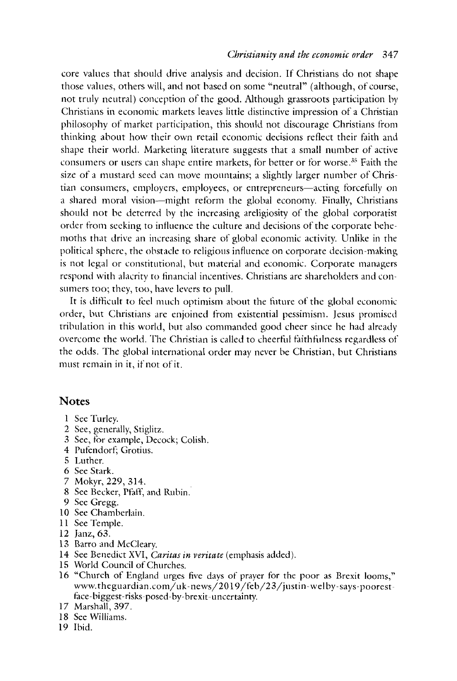core values that should drive analysis and decision. If Christians do not shape those values, others will, and not based on some "neutral" ( although, of course, not truly neutral) conception of the good. Although grassroots participation by Christians in economic markets leaves little distinctive impression of a Christian philosophy of market participation, this should not discourage Christians from thinking about how their own retail economic decisions reflect their faith and shape their world. Marketing literature suggests that a small number of active consumers or users can shape entire markets, for better or for worse.<sup>35</sup> Faith the size of a mustard seed can move mountains; a slightly larger number of Christian consumers, employers, employees, or entrepreneurs—acting forcefully on a shared moral vision-might reform the global economy. Finally, Christians should not be deterred by the increasing areligiosity of the global corporatist order from seeking to influence the culture and decisions of the corporate behemoths that drive an increasing share of global economic activity. Unlike in the political sphere, the obstacle to religious influence on corporate decision-making is not legal or constitutional, but material and economic. Corporate managers respond with alacrity to financial incentives. Christians are shareholders and consumers too; they, too, have levers to pull.

It is difficult to feel much optimism about the future of the global economic order, but Christians arc enjoined from existential pessimism. Jesus promised tribulation in this world, but also commanded good cheer since he had already overcome the world. The Christian is called to cheerful faithfulness regardless of the odds. The global international order may never be Christian, but Christians must remain in it, if not of it.

#### **Notes**

- 1 See Turley.
- 2 See, generally, Stiglitz.
- 3 See, for example, Decock; Colish.
- 4 Pufendort; Grotius.
- 5 Luther.
- 6 See Stark.
- 7 Mokyr, 229,314.
- 8 See Becker, Pfaff, and Rubin.
- 9 See Gregg.
- 10 See Chamberlain.
- 11 See Temple.
- 12 Janz, 63.
- 13 Barro and McCleary.
- 14 See Benedict XVI, *Caritas in veritate* (emphasis added).
- 15 World Council of Churches.
- 16 "Church of England urges five days of prayer for the poor as Brexit looms," www.theguardian.com/uk-news/2019 /feb/23/justin-welby-says-poorestface-biggest-risks-posed-by-brexit-uncertainty.
- 17 Marshall, 397.
- 18 See Williams.
- 19 Ibid.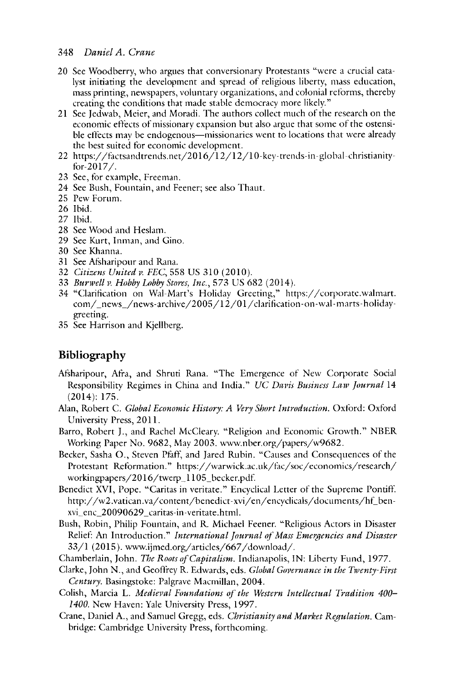- 20 See Woodberry, who argues that conversionary Protestants "were a crucial catalyst initiating the development and spread of religious liberty, mass education, mass printing, newspapers, voluntary organizations, and colonial reforms, thereby creating the conditions that made stable democracy more likely."
- 21 See Jedwab, Meier, and Moradi. The authors collect much of the research on the economic effects of missionary expansion but also argue that some of the ostensible effects may be endogenous—missionaries went to locations that were already the best suited for economic development.
- 22 https:/ /factsandtrends.net/2016/12/12/1 0-key-trends-in-global-christianityfor-2017/.
- 23 See, for example, Freeman.
- 24 See Bush, Fountain, and Feener; see also Thaut.
- 25 Pew Forum.
- 26 Ibid.
- 27 Ibid.
- 28 See Wood and Heslam.
- 29 See Kurt, Inman, and Gino.
- 30 See Khanna.
- 31 See Afsharipour and Rana.
- 32 *Citizens United v. FEC,* 558 US 310 (2010).
- 33 *Burwell v. Hobby Lobby Stores, Inc.*, 573 US 682 (2014).
- 34 "Clarification on Wal-Mart's Holiday Greeting," https:/ /corporatc.walmart. com/\_news\_/news-archive/2005/12/01/clarification-on-wal-marts-holidaygreeting.
- 35 See Harrison and Kjellberg.

#### **Bibliography**

- Atsharipour, Afra, and Shruti Rana. "The Emergence of New Corporate Social Responsibility Regimes in China and India." *UC Davis Business Law Journal* 14 (2014): 175.
- Alan, Robert C. *Global Economic History: A Very Short Introduction.* Oxford: Oxford University Press, 2011.
- Barro, Robert J., and Rachel McCleary. "Religion and Economic Growth." NEER Working Paper No. 9682, May 2003. www.nber.org/papers/w9682.
- Becker, Sasha O., Steven Pfaff, and Jared Rubin. "Causes and Consequences of the Protestant Reformation." https:/ /warwick.ac.uk/fac/soc/ economics/research/ workingpapers/2016/twerp\_l l 05\_becker.pdf.
- Benedict XVI, Pope. "Caritas in veritate." Encyclical Letter of the Supreme Pontiff. http://w2.vatican.va/content/benedict-xvi/en/encyclicals/documents/hf\_benxvi\_enc\_20090629 \_caritas-in-veritate.html.
- Bush, Robin, Philip Fountain, and R. Michael Feener. "Religious Actors in Disaster Relief: An Introduction." *International Journal of Mass Emergencies and Disaster* 33/1 (2015). www.ijmed.org/articles/667 /download/.
- Chamberlain, John. *The Roots of Capitalism.* Indianapolis, IN: Liberty Fund, 1977.
- Clarke, John N., and Geoffrey R. Edwards, eds. *Global Governance in the Twenty-First Century.* Basingstoke: Palgrave Macmillan, 2004.
- Colish, Marcia L. *Medieval Foundations of the Western Intellectual Tradition 400- 1400.* New Haven: Yale University Press, 1997.
- Crane, Daniel A., and Samuel Gregg, eds. *Christianity and Market Regulation.* Cambridge: Cambridge University Press, forthcoming.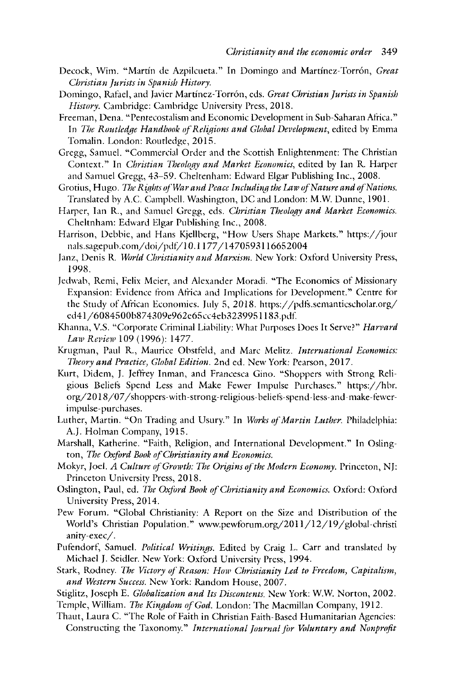- Decock, Wim. "Martin de Azpilcueta." In Domingo and Martinez-Torr6n, *Great Christian Jurists in Spanish History.*
- Domingo, Rafael, and Javier Martfnez-Torr6n, eds. *Great Christian Jurists in Spanish History.* Cambridge: Cambridge University Press, 2018.
- Freeman, Dena. "Pentecostalism and Economic Development in Sub-Saharan Africa." In *The Routledge Handbook of Religions and Global Development*, edited by Emma Tomalin. London: Routledge, 2015.
- Gregg, Samuel. "Commercial Order and the Scottish Enlightenment: The Christian Context." In *Christian Theology and Market Economics*, edited by Ian R. Harper and Samuel Gregg, 43-59. Cheltenham: Edward Elgar Publishing Inc., 2008.
- Grotius, Hugo. *The Rights of War and Peace Including the Law of Nature and of Nations.* Translated by A.C. Campbell. Washington, DC and London: M.W. Dunne, 1901.
- Harper, Ian R., and Samuel Gregg, eds. *Christian Theology and Market Economics.*  Cheltnham: Edward Elgar Publishing Inc., 2008.
- Harrison, Debbie, and Hans Kjellberg, "How Users Shape Markets." https:/ /jour nals.sagepub.com/doi/pdt/IO. I I 77 /1470593116652004
- Janz, Denis R. *W1rld Christianity and Marxism.* New York: Oxford University Press, 1998.
- Jedwab, Remi, Felix Meier, and Alexander Moradi. "The Economics of Missionary Expansion: Evidence from Africa and Implications for Development." Centre for the Study of African Economies. July 5, 2018. https://pdfs.semanticscholar.org/ ed4 l /6084500b87 4309e962e65cc4eb323995 l l 83.pdf
- Khanna, V.S. "Corporate Criminal Liability: What Purposes Does It Serve?" *Harvard Law Review 109 (1996): 1477.*
- Krugman, Paul R., Maurice Obstfeld, and Marc Melitz. *International Economics: Theory and Practice, Global Edition.* 2nd ed. New York: Pearson, 2017.
- Kurt, Didem, J. Jeffrey Inman, and Francesca Gino. "Shoppers with Strong Religious Beliefs Spend Less and Make Fewer Impulse Purchases." https://hbr. org/2018 /07 / shoppers-with-strong-religious- beliets-spend-less-and-make-tewerimpulse-purchases.
- Luther, Martin. "On Trading and Usury." In *Works of Martin Luther*. Philadelphia: A.J. Holman Company, 1915.
- Marshall, Katherine. "Faith, Religion, and International Development." In Oslington, *The Oxford Book of Christianity and Economics*.
- Mokyr, Joel. *A Culture of Growth: The Origins of the Modern Economy.* Princeton, **NJ:**  Princeton University Press, 2018.
- Oslington, Paul, ed. *The Oxford Book of Christianity and Economics*. Oxford: Oxford University Press, 2014.
- Pew Forum. "Global Christianity: A Report on the Size and Distribution of the World's Christian Population." www.pewforum.org/2011/12/19/global-christi anity-exec/.
- Pufendorf, Samuel. *Political Writings*. Edited by Craig L. Carr and translated by Michael J. Seidler. New York: Oxford University Press, 1994.
- Stark, Rodney. *The Victory of Reason: How Christianity Led to Freedom, Capitalism, and Western Success.* New York: Random House, 2007.
- Stiglitz, Joseph E. *Globalization and Its Discontents.* New York: W.W. Norton, 2002.
- Temple, William. *The Kingdom of God.* London: The Macmillan Company, 1912.
- Thaut, Laura C. "The Role of Faith in Christian Faith-Based Humanitarian Agencies: Constructing the Taxonomy." *International Journal for Voluntary and Nonprofit*